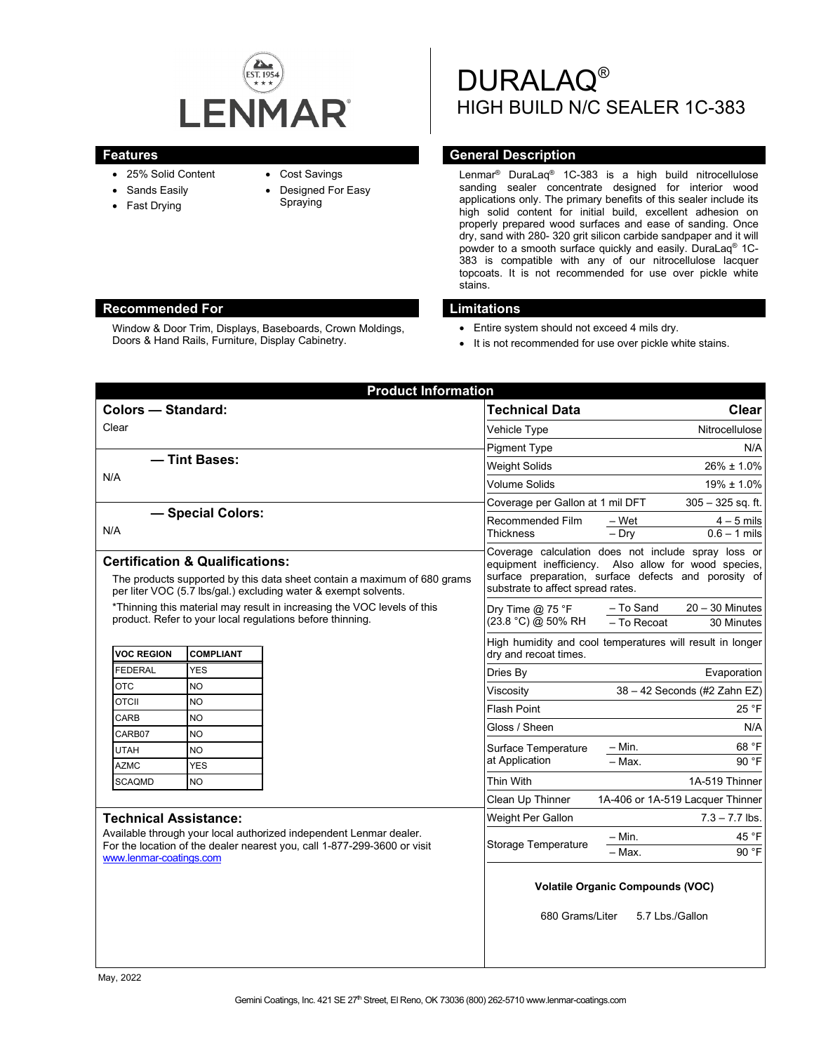

- 25% Solid Content
- Sands Easily
- Fast Drying
- Cost Savings
- Designed For Easy
- Spraying

DURALAQ® HIGH BUILD N/C SEALER 1C-383

## **Features Features General Description**

Lenmar® DuraLaq® 1C-383 is a high build nitrocellulose sanding sealer concentrate designed for interior wood applications only. The primary benefits of this sealer include its high solid content for initial build, excellent adhesion on properly prepared wood surfaces and ease of sanding. Once dry, sand with 280- 320 grit silicon carbide sandpaper and it will powder to a smooth surface quickly and easily. DuraLaq® 1C-383 is compatible with any of our nitrocellulose lacquer topcoats. It is not recommended for use over pickle white stains.

## **Recommended For Limitations**

Window & Door Trim, Displays, Baseboards, Crown Moldings, Doors & Hand Rails, Furniture, Display Cabinetry.

- Entire system should not exceed 4 mils dry.
- It is not recommended for use over pickle white stains.

|                                                                                                                                                                                                           | <b>Product Information</b> |                                                                                                                                                                                                          |                                                            |
|-----------------------------------------------------------------------------------------------------------------------------------------------------------------------------------------------------------|----------------------------|----------------------------------------------------------------------------------------------------------------------------------------------------------------------------------------------------------|------------------------------------------------------------|
| <b>Colors - Standard:</b>                                                                                                                                                                                 |                            | <b>Technical Data</b>                                                                                                                                                                                    | Clear                                                      |
| Clear                                                                                                                                                                                                     |                            | Vehicle Type                                                                                                                                                                                             | Nitrocellulose                                             |
|                                                                                                                                                                                                           |                            | <b>Pigment Type</b>                                                                                                                                                                                      | N/A                                                        |
| - Tint Bases:<br>N/A                                                                                                                                                                                      |                            | <b>Weight Solids</b>                                                                                                                                                                                     | $26\% \pm 1.0\%$                                           |
|                                                                                                                                                                                                           |                            | Volume Solids                                                                                                                                                                                            | $19\% \pm 1.0\%$                                           |
|                                                                                                                                                                                                           |                            | Coverage per Gallon at 1 mil DFT                                                                                                                                                                         | $305 - 325$ sq. ft.                                        |
| - Special Colors:                                                                                                                                                                                         |                            | Recommended Film<br><b>Thickness</b>                                                                                                                                                                     | – Wet<br>$4-5$ mils                                        |
| N/A                                                                                                                                                                                                       |                            |                                                                                                                                                                                                          | $-$ Dry<br>$0.6 - 1$ mils                                  |
| <b>Certification &amp; Qualifications:</b><br>The products supported by this data sheet contain a maximum of 680 grams<br>per liter VOC (5.7 lbs/gal.) excluding water & exempt solvents.                 |                            | Coverage calculation does not include spray loss or<br>equipment inefficiency. Also allow for wood species,<br>surface preparation, surface defects and porosity of<br>substrate to affect spread rates. |                                                            |
| *Thinning this material may result in increasing the VOC levels of this<br>product. Refer to your local regulations before thinning.                                                                      |                            | Dry Time $@$ 75 °F<br>(23.8 °C) @ 50% RH                                                                                                                                                                 | $20 - 30$ Minutes<br>– To Sand                             |
|                                                                                                                                                                                                           |                            |                                                                                                                                                                                                          | - To Recoat<br>30 Minutes                                  |
| <b>VOC REGION</b><br><b>COMPLIANT</b>                                                                                                                                                                     |                            | High humidity and cool temperatures will result in longer<br>dry and recoat times.                                                                                                                       |                                                            |
| <b>YES</b><br><b>FEDERAL</b>                                                                                                                                                                              |                            | Dries By                                                                                                                                                                                                 | Evaporation                                                |
| <b>NO</b><br><b>OTC</b>                                                                                                                                                                                   |                            | Viscositv                                                                                                                                                                                                | 38 - 42 Seconds (#2 Zahn EZ)                               |
| <b>OTCII</b><br><b>NO</b>                                                                                                                                                                                 |                            | <b>Flash Point</b>                                                                                                                                                                                       | 25 °F                                                      |
| CARB<br><b>NO</b>                                                                                                                                                                                         |                            | Gloss / Sheen                                                                                                                                                                                            | N/A                                                        |
| CARB07<br><b>NO</b>                                                                                                                                                                                       |                            |                                                                                                                                                                                                          | $-$ Min.<br>68 °F                                          |
| <b>UTAH</b><br><b>NO</b>                                                                                                                                                                                  |                            | Surface Temperature<br>at Application                                                                                                                                                                    | 90 °F<br>$-Max$ .                                          |
| <b>YES</b><br><b>AZMC</b>                                                                                                                                                                                 |                            |                                                                                                                                                                                                          |                                                            |
| <b>SCAQMD</b><br><b>NO</b>                                                                                                                                                                                |                            | Thin With                                                                                                                                                                                                | 1A-519 Thinner                                             |
|                                                                                                                                                                                                           |                            | Clean Up Thinner                                                                                                                                                                                         | 1A-406 or 1A-519 Lacquer Thinner                           |
| <b>Technical Assistance:</b><br>Available through your local authorized independent Lenmar dealer.<br>For the location of the dealer nearest you, call 1-877-299-3600 or visit<br>www.lenmar-coatings.com |                            | <b>Weight Per Gallon</b>                                                                                                                                                                                 | $7.3 - 7.7$ lbs.                                           |
|                                                                                                                                                                                                           |                            | <b>Storage Temperature</b>                                                                                                                                                                               | - Min.<br>45 °F                                            |
|                                                                                                                                                                                                           |                            |                                                                                                                                                                                                          | 90 °F<br>- Max.                                            |
|                                                                                                                                                                                                           |                            | 680 Grams/Liter                                                                                                                                                                                          | <b>Volatile Organic Compounds (VOC)</b><br>5.7 Lbs./Gallon |